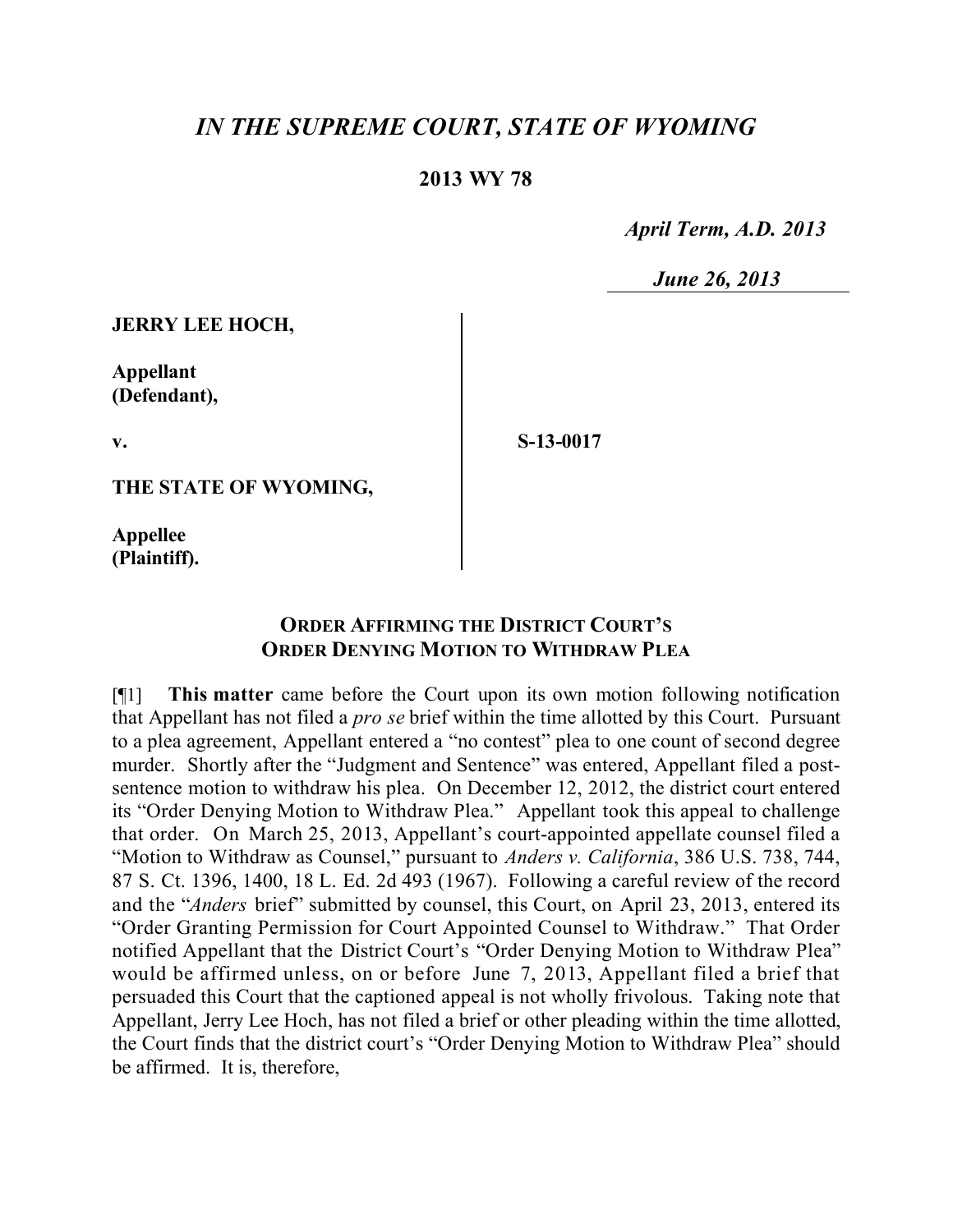## *IN THE SUPREME COURT, STATE OF WYOMING*

## **2013 WY 78**

 *April Term, A.D. 2013*

 *June 26, 2013*

**JERRY LEE HOCH,**

**Appellant (Defendant),**

**v.**

**S-13-0017**

**THE STATE OF WYOMING,**

**Appellee (Plaintiff).**

## **ORDER AFFIRMING THE DISTRICT COURT'S ORDER DENYING MOTION TO WITHDRAW PLEA**

[¶1] **This matter** came before the Court upon its own motion following notification that Appellant has not filed a *pro se* brief within the time allotted by this Court. Pursuant to a plea agreement, Appellant entered a "no contest" plea to one count of second degree murder. Shortly after the "Judgment and Sentence" was entered, Appellant filed a postsentence motion to withdraw his plea. On December 12, 2012, the district court entered its "Order Denying Motion to Withdraw Plea." Appellant took this appeal to challenge that order. On March 25, 2013, Appellant's court-appointed appellate counsel filed a "Motion to Withdraw as Counsel," pursuant to *Anders v. California*, 386 U.S. 738, 744, 87 S. Ct. 1396, 1400, 18 L. Ed. 2d 493 (1967). Following a careful review of the record and the "*Anders* brief" submitted by counsel, this Court, on April 23, 2013, entered its "Order Granting Permission for Court Appointed Counsel to Withdraw." That Order notified Appellant that the District Court's "Order Denying Motion to Withdraw Plea" would be affirmed unless, on or before June 7, 2013, Appellant filed a brief that persuaded this Court that the captioned appeal is not wholly frivolous. Taking note that Appellant, Jerry Lee Hoch, has not filed a brief or other pleading within the time allotted, the Court finds that the district court's "Order Denying Motion to Withdraw Plea" should be affirmed. It is, therefore,